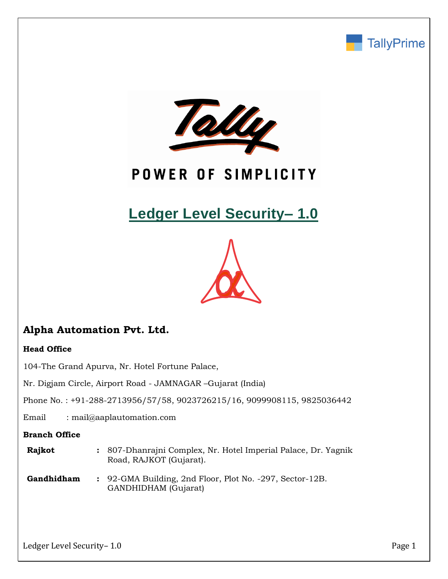



# POWER OF SIMPLICITY

# **Ledger Level Security– 1.0**



# **Alpha Automation Pvt. Ltd.**

### **Head Office**

104-The Grand Apurva, Nr. Hotel Fortune Palace,

Nr. Digjam Circle, Airport Road - JAMNAGAR –Gujarat (India)

Phone No. : +91-288-2713956/57/58, 9023726215/16, 9099908115, 9825036442

Email : mail@aaplautomation.com

### **Branch Office**

| <b>Rajkot</b> | : 807-Dhanrajni Complex, Nr. Hotel Imperial Palace, Dr. Yagnik |
|---------------|----------------------------------------------------------------|
|               | Road, RAJKOT (Gujarat).                                        |

**Gandhidham :** 92-GMA Building, 2nd Floor, Plot No. -297, Sector-12B. GANDHIDHAM (Gujarat)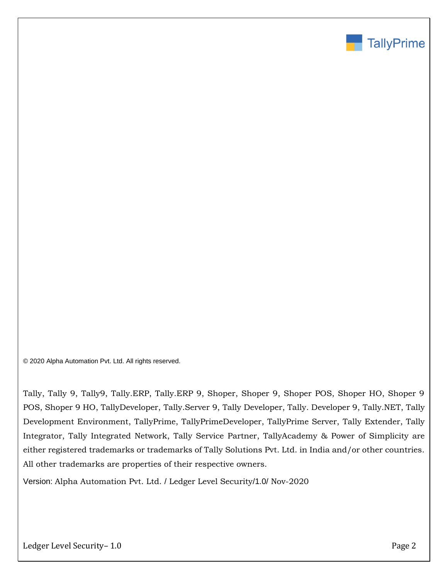

© 2020 Alpha Automation Pvt. Ltd. All rights reserved.

Tally, Tally 9, Tally9, Tally.ERP, Tally.ERP 9, Shoper, Shoper 9, Shoper POS, Shoper HO, Shoper 9 POS, Shoper 9 HO, TallyDeveloper, Tally.Server 9, Tally Developer, Tally. Developer 9, Tally.NET, Tally Development Environment, TallyPrime, TallyPrimeDeveloper, TallyPrime Server, Tally Extender, Tally Integrator, Tally Integrated Network, Tally Service Partner, TallyAcademy & Power of Simplicity are either registered trademarks or trademarks of Tally Solutions Pvt. Ltd. in India and/or other countries. All other trademarks are properties of their respective owners.

Version: Alpha Automation Pvt. Ltd. / Ledger Level Security/1.0/ Nov-2020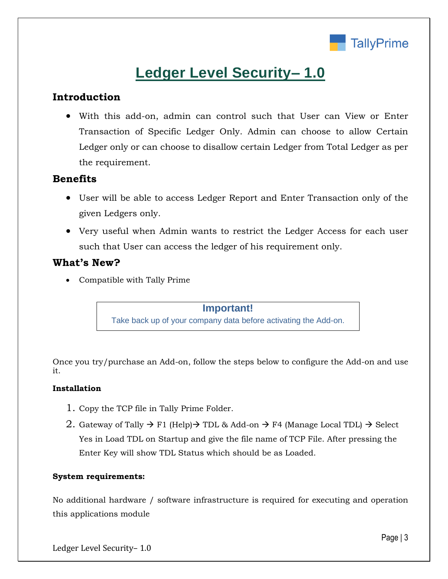

# **Ledger Level Security– 1.0**

# **Introduction**

• With this add-on, admin can control such that User can View or Enter Transaction of Specific Ledger Only. Admin can choose to allow Certain Ledger only or can choose to disallow certain Ledger from Total Ledger as per the requirement.

## **Benefits**

- User will be able to access Ledger Report and Enter Transaction only of the given Ledgers only.
- Very useful when Admin wants to restrict the Ledger Access for each user such that User can access the ledger of his requirement only.

## **What's New?**

• Compatible with Tally Prime

**Important!** Take back up of your company data before activating the Add-on.

Once you try/purchase an Add-on, follow the steps below to configure the Add-on and use it.

### **Installation**

- 1. Copy the TCP file in Tally Prime Folder.
- 2. Gateway of Tally  $\rightarrow$  F1 (Help) $\rightarrow$  TDL & Add-on  $\rightarrow$  F4 (Manage Local TDL)  $\rightarrow$  Select Yes in Load TDL on Startup and give the file name of TCP File. After pressing the Enter Key will show TDL Status which should be as Loaded.

### **System requirements:**

No additional hardware / software infrastructure is required for executing and operation this applications module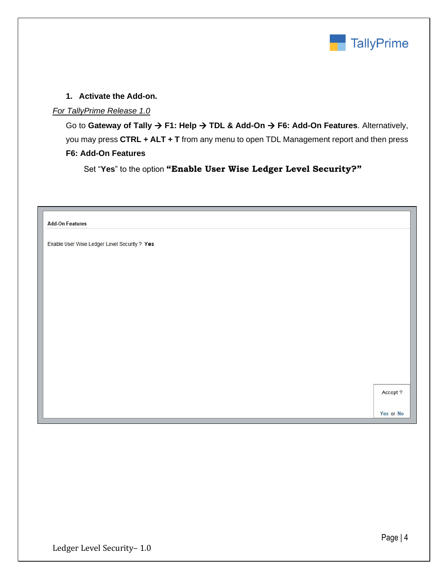

### **1. Activate the Add-on.**

### *For TallyPrime Release 1.0*

Go to **Gateway of Tally** → **F1: Help** → **TDL & Add-On** → **F6: Add-On Features**. Alternatively, you may press **CTRL + ALT + T** from any menu to open TDL Management report and then press **F6: Add-On Features**

Set "**Yes**" to the option **"Enable User Wise Ledger Level Security?"**

**Add-On Features** 

Enable User Wise Ledger Level Security ? Yes

Accept ?

Yes or No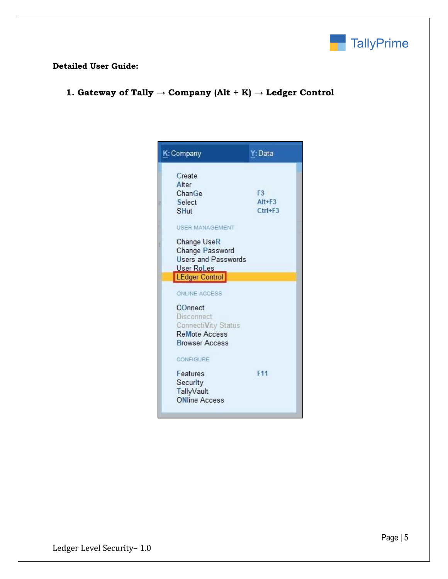

## **Detailed User Guide:**

**1. Gateway of Tally → Company (Alt + K) → Ledger Control**

| K: Company                                                                                                                                                                                       | Y: Data                                     |  |
|--------------------------------------------------------------------------------------------------------------------------------------------------------------------------------------------------|---------------------------------------------|--|
| Create<br>Alter<br>ChanGe<br>Select<br><b>SHut</b>                                                                                                                                               | F <sub>3</sub><br>$Alt + F3$<br>$Ctrl + F3$ |  |
| <b>USER MANAGEMENT</b><br>Change UseR<br>Change Password<br><b>Users and Passwords</b><br><b>User RoLes</b><br><b>LEdger Control</b>                                                             |                                             |  |
| ONLINE ACCESS<br>COnnect<br><b>Disconnect</b><br>ConnectiVity Status<br><b>ReMote Access</b><br><b>Browser Access</b><br>CONFIGURE<br>Features<br>Security<br>TallyVault<br><b>ONline Access</b> | F <sub>11</sub>                             |  |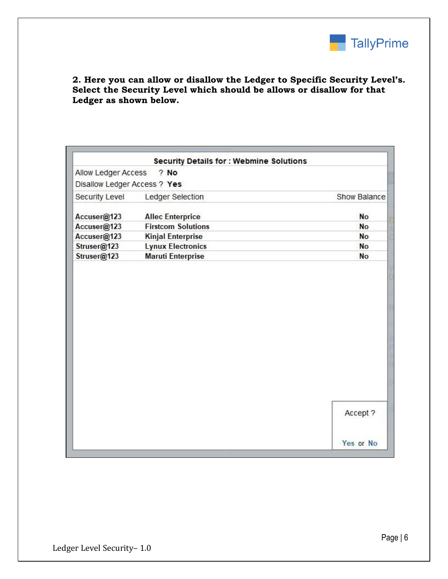

**2. Here you can allow or disallow the Ledger to Specific Security Level's. Select the Security Level which should be allows or disallow for that Ledger as shown below.**

|                              | <b>Security Details for : Webmine Solutions</b> |              |
|------------------------------|-------------------------------------------------|--------------|
| Allow Ledger Access          | ? No                                            |              |
| Disallow Ledger Access ? Yes |                                                 |              |
| Security Level               | Ledger Selection                                | Show Balance |
| Accuser@123                  | <b>Allec Enterprice</b>                         | No           |
| Accuser@123                  | <b>Firstcom Solutions</b>                       | No           |
| Accuser@123                  | <b>Kinjal Enterprise</b>                        | No           |
| Struser@123                  | <b>Lynux Electronics</b>                        | No           |
| Struser@123                  | <b>Maruti Enterprise</b>                        | No           |
|                              |                                                 |              |
|                              |                                                 |              |
|                              |                                                 | Accept ?     |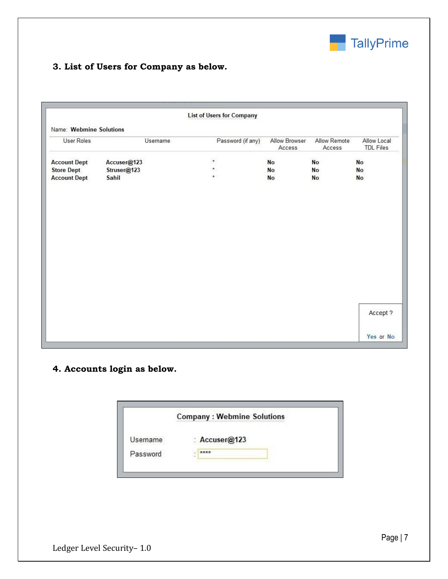

# **3. List of Users for Company as below.**

|                         |             | <b>List of Users for Company</b> |                         |                        |                                 |
|-------------------------|-------------|----------------------------------|-------------------------|------------------------|---------------------------------|
| Name: Webmine Solutions |             |                                  |                         |                        |                                 |
| <b>User Roles</b>       | Username    | Password (if any)                | Allow Browser<br>Access | Allow Remote<br>Access | Allow Local<br><b>TDL Files</b> |
| <b>Account Dept</b>     | Accuser@123 | $^\star$                         | No                      | No                     | No                              |
| <b>Store Dept</b>       | Struser@123 | $\pmb{\ast}$                     | No                      | No                     | No                              |
| <b>Account Dept</b>     | Sahil       | $\star$                          | No                      | No                     | No                              |
|                         |             |                                  |                         |                        |                                 |
|                         |             |                                  |                         |                        |                                 |
|                         |             |                                  |                         |                        |                                 |
|                         |             |                                  |                         |                        |                                 |
|                         |             |                                  |                         |                        |                                 |
|                         |             |                                  |                         |                        |                                 |
|                         |             |                                  |                         |                        |                                 |
|                         |             |                                  |                         |                        |                                 |
|                         |             |                                  |                         |                        |                                 |
|                         |             |                                  |                         |                        |                                 |
|                         |             |                                  |                         |                        |                                 |
|                         |             |                                  |                         |                        |                                 |
|                         |             |                                  |                         |                        |                                 |
|                         |             |                                  |                         |                        |                                 |
|                         |             |                                  |                         |                        |                                 |
|                         |             |                                  |                         |                        | Accept ?                        |
|                         |             |                                  |                         |                        |                                 |

# **4. Accounts login as below.**

|          | <b>Company: Webmine Solutions</b> |
|----------|-----------------------------------|
| Username | : Accuser@123                     |
| Password | ****                              |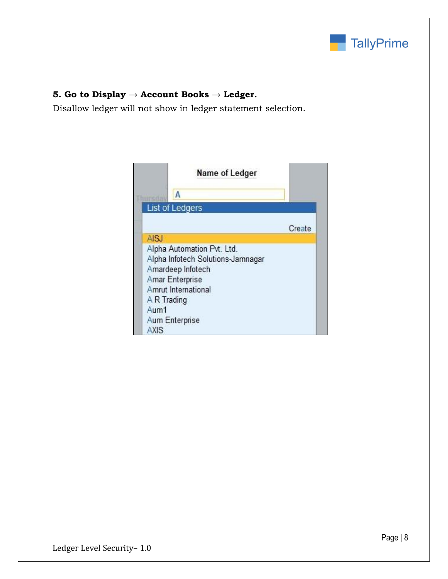

## **5. Go to Display → Account Books → Ledger.**

Disallow ledger will not show in ledger statement selection.

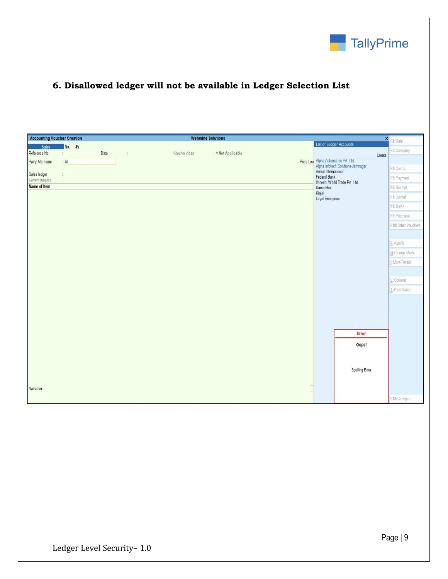

# **6. Disallowed ledger will not be available in Ledger Selection List**

| <b>Accounting Voucher Creation</b> |                          |      |                             | <b>Webmine Solutions</b> |                    |  |                            |                                                                           | $\boldsymbol{x}$ |                     |
|------------------------------------|--------------------------|------|-----------------------------|--------------------------|--------------------|--|----------------------------|---------------------------------------------------------------------------|------------------|---------------------|
| Sales                              | No. 45                   |      |                             |                          |                    |  |                            | List of Ledger Accounts                                                   |                  | F2: Date            |
| Reference No                       | ĕ.                       | Date | $\mathcal{L}_{\mathcal{L}}$ | Voucher class            | : • Not Applicable |  |                            |                                                                           | Create           | F3: Company         |
| Party A/c name                     | A                        |      |                             |                          |                    |  |                            | Price Lew Alpha Automation Pvt. Ltd.<br>Alpha Infotech Solutions-Jamnagar |                  |                     |
|                                    |                          |      |                             |                          |                    |  | Amrut International        |                                                                           |                  | F4: Contra          |
| Sales ledger<br>Current balance    | $\frac{1}{\alpha}$<br>8. |      |                             |                          |                    |  | Federal Bank               | F5: Payment                                                               |                  |                     |
| Name of Item                       |                          |      |                             |                          |                    |  | Kamalbhai                  | Imperial World Trade Pvt. Ltd                                             | F6: Receipt      |                     |
|                                    |                          |      |                             |                          |                    |  | Kinjal<br>Loyal Enterprise |                                                                           |                  | F7: Journal         |
|                                    |                          |      |                             |                          |                    |  |                            |                                                                           |                  | F8: Sales           |
|                                    |                          |      |                             |                          |                    |  |                            |                                                                           |                  | F9: Purchase        |
|                                    |                          |      |                             |                          |                    |  |                            |                                                                           |                  | F10: Other Vouchers |
|                                    |                          |      |                             |                          |                    |  |                            |                                                                           |                  |                     |
|                                    |                          |      |                             |                          |                    |  |                            |                                                                           |                  | E: Autofill         |
|                                    |                          |      |                             |                          |                    |  |                            |                                                                           |                  | H: Change Mode      |
|                                    |                          |      |                             |                          |                    |  |                            |                                                                           |                  |                     |
|                                    |                          |      |                             |                          |                    |  |                            |                                                                           |                  | I: More Details     |
|                                    |                          |      |                             |                          |                    |  |                            |                                                                           |                  |                     |
|                                    |                          |      |                             |                          |                    |  |                            |                                                                           |                  | L: Optional         |
|                                    |                          |      |                             |                          |                    |  |                            |                                                                           |                  | I: Post-Dated       |
|                                    |                          |      |                             |                          |                    |  |                            |                                                                           |                  |                     |
|                                    |                          |      |                             |                          |                    |  |                            |                                                                           |                  |                     |
|                                    |                          |      |                             |                          |                    |  |                            |                                                                           |                  |                     |
|                                    |                          |      |                             |                          |                    |  |                            |                                                                           |                  |                     |
|                                    |                          |      |                             |                          |                    |  |                            | Error                                                                     |                  |                     |
|                                    |                          |      |                             |                          |                    |  |                            | Oops!                                                                     |                  |                     |
|                                    |                          |      |                             |                          |                    |  |                            |                                                                           |                  |                     |
|                                    |                          |      |                             |                          |                    |  |                            |                                                                           |                  |                     |
|                                    |                          |      |                             |                          |                    |  |                            | Spelling Error                                                            |                  |                     |
|                                    |                          |      |                             |                          |                    |  |                            |                                                                           |                  |                     |
| Narration:                         |                          |      |                             |                          |                    |  |                            |                                                                           |                  |                     |
|                                    |                          |      |                             |                          |                    |  |                            |                                                                           |                  | F12: Configure      |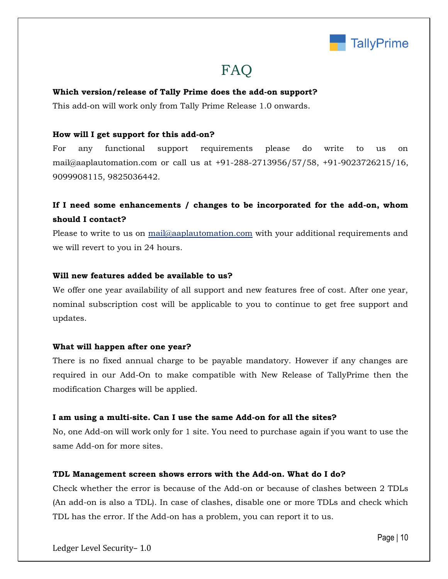

# FAQ

### **Which version/release of Tally Prime does the add-on support?**

This add-on will work only from Tally Prime Release 1.0 onwards.

### **How will I get support for this add-on?**

For any functional support requirements please do write to us on mail@aaplautomation.com or call us at +91-288-2713956/57/58, +91-9023726215/16, 9099908115, 9825036442.

# **If I need some enhancements / changes to be incorporated for the add-on, whom should I contact?**

Please to write to us on mail@aaplautomation.com with your additional requirements and we will revert to you in 24 hours.

#### **Will new features added be available to us?**

We offer one year availability of all support and new features free of cost. After one year, nominal subscription cost will be applicable to you to continue to get free support and updates.

#### **What will happen after one year?**

There is no fixed annual charge to be payable mandatory. However if any changes are required in our Add-On to make compatible with New Release of TallyPrime then the modification Charges will be applied.

#### **I am using a multi-site. Can I use the same Add-on for all the sites?**

No, one Add-on will work only for 1 site. You need to purchase again if you want to use the same Add-on for more sites.

#### **TDL Management screen shows errors with the Add-on. What do I do?**

Check whether the error is because of the Add-on or because of clashes between 2 TDLs (An add-on is also a TDL). In case of clashes, disable one or more TDLs and check which TDL has the error. If the Add-on has a problem, you can report it to us.